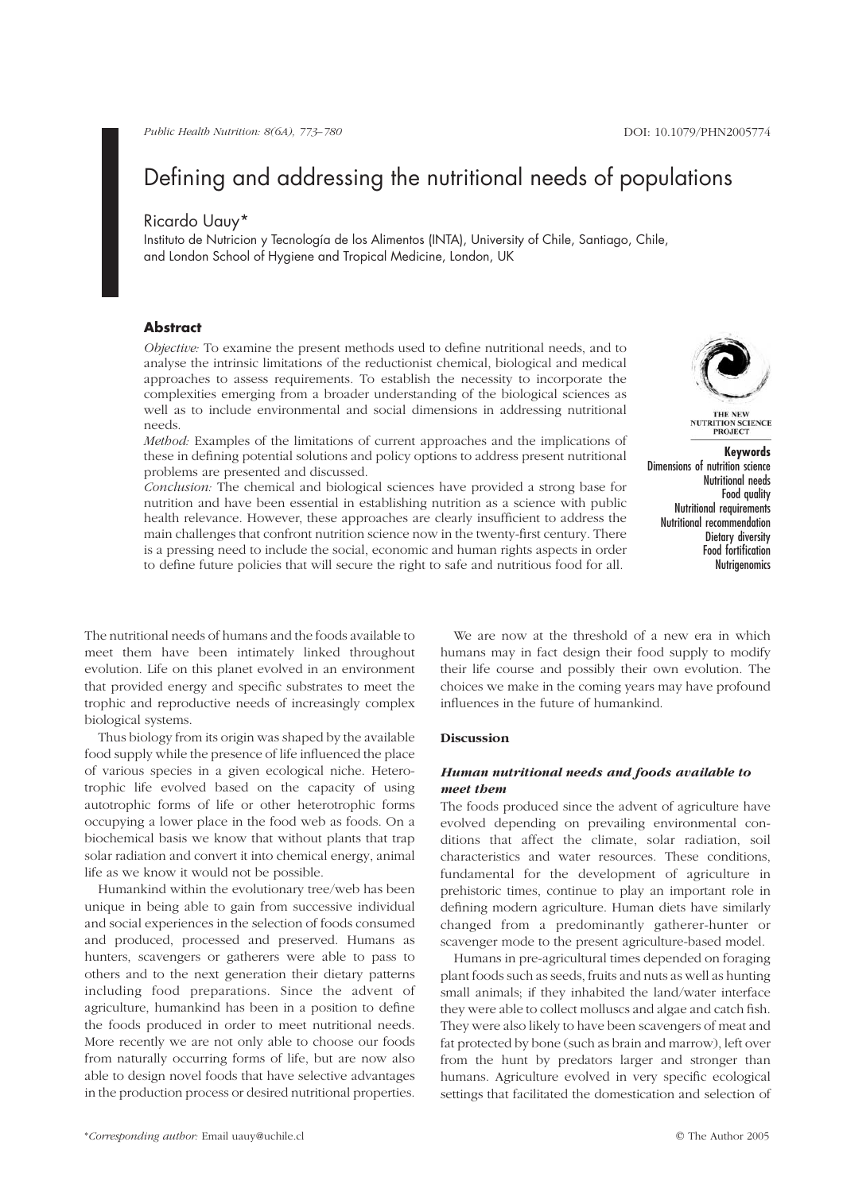Ricardo Uauy\*

Instituto de Nutricion y Tecnología de los Alimentos (INTA), University of Chile, Santiago, Chile, and London School of Hygiene and Tropical Medicine, London, UK

#### Abstract

Objective: To examine the present methods used to define nutritional needs, and to analyse the intrinsic limitations of the reductionist chemical, biological and medical approaches to assess requirements. To establish the necessity to incorporate the complexities emerging from a broader understanding of the biological sciences as well as to include environmental and social dimensions in addressing nutritional needs.

Method: Examples of the limitations of current approaches and the implications of these in defining potential solutions and policy options to address present nutritional problems are presented and discussed.

Conclusion: The chemical and biological sciences have provided a strong base for nutrition and have been essential in establishing nutrition as a science with public health relevance. However, these approaches are clearly insufficient to address the main challenges that confront nutrition science now in the twenty-first century. There is a pressing need to include the social, economic and human rights aspects in order to define future policies that will secure the right to safe and nutritious food for all.



Keywords Dimensions of nutrition science Nutritional needs Food quality Nutritional requirements Nutritional recommendation Dietary diversity Food fortification **Nutrigenomics** 

The nutritional needs of humans and the foods available to meet them have been intimately linked throughout evolution. Life on this planet evolved in an environment that provided energy and specific substrates to meet the trophic and reproductive needs of increasingly complex biological systems.

Thus biology from its origin was shaped by the available food supply while the presence of life influenced the place of various species in a given ecological niche. Heterotrophic life evolved based on the capacity of using autotrophic forms of life or other heterotrophic forms occupying a lower place in the food web as foods. On a biochemical basis we know that without plants that trap solar radiation and convert it into chemical energy, animal life as we know it would not be possible.

Humankind within the evolutionary tree/web has been unique in being able to gain from successive individual and social experiences in the selection of foods consumed and produced, processed and preserved. Humans as hunters, scavengers or gatherers were able to pass to others and to the next generation their dietary patterns including food preparations. Since the advent of agriculture, humankind has been in a position to define the foods produced in order to meet nutritional needs. More recently we are not only able to choose our foods from naturally occurring forms of life, but are now also able to design novel foods that have selective advantages in the production process or desired nutritional properties.

We are now at the threshold of a new era in which humans may in fact design their food supply to modify their life course and possibly their own evolution. The choices we make in the coming years may have profound influences in the future of humankind.

#### Discussion

# Human nutritional needs and foods available to meet them

The foods produced since the advent of agriculture have evolved depending on prevailing environmental conditions that affect the climate, solar radiation, soil characteristics and water resources. These conditions, fundamental for the development of agriculture in prehistoric times, continue to play an important role in defining modern agriculture. Human diets have similarly changed from a predominantly gatherer-hunter or scavenger mode to the present agriculture-based model.

Humans in pre-agricultural times depended on foraging plant foods such as seeds, fruits and nuts as well as hunting small animals; if they inhabited the land/water interface they were able to collect molluscs and algae and catch fish. They were also likely to have been scavengers of meat and fat protected by bone (such as brain and marrow), left over from the hunt by predators larger and stronger than humans. Agriculture evolved in very specific ecological settings that facilitated the domestication and selection of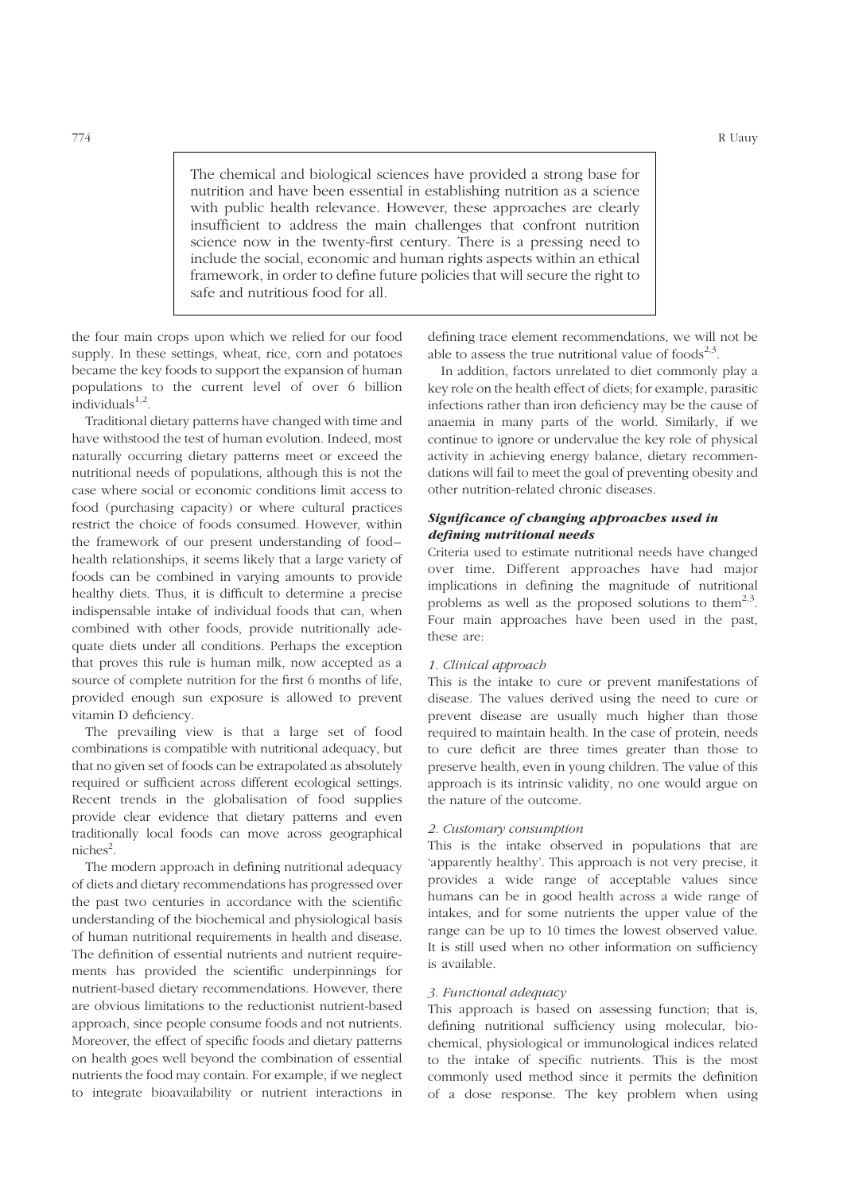The chemical and biological sciences have provided a strong base for nutrition and have been essential in establishing nutrition as a science with public health relevance. However, these approaches are clearly insufficient to address the main challenges that confront nutrition science now in the twenty-first century. There is a pressing need to include the social, economic and human rights aspects within an ethical framework, in order to define future policies that will secure the right to safe and nutritious food for all.

the four main crops upon which we relied for our food supply. In these settings, wheat, rice, corn and potatoes became the key foods to support the expansion of human populations to the current level of over 6 billion  $individuals^{1,2}.$ 

Traditional dietary patterns have changed with time and have withstood the test of human evolution. Indeed, most naturally occurring dietary patterns meet or exceed the nutritional needs of populations, although this is not the case where social or economic conditions limit access to food (purchasing capacity) or where cultural practices restrict the choice of foods consumed. However, within the framework of our present understanding of food– health relationships, it seems likely that a large variety of foods can be combined in varying amounts to provide healthy diets. Thus, it is difficult to determine a precise indispensable intake of individual foods that can, when combined with other foods, provide nutritionally adequate diets under all conditions. Perhaps the exception that proves this rule is human milk, now accepted as a source of complete nutrition for the first 6 months of life, provided enough sun exposure is allowed to prevent vitamin D deficiency.

The prevailing view is that a large set of food combinations is compatible with nutritional adequacy, but that no given set of foods can be extrapolated as absolutely required or sufficient across different ecological settings. Recent trends in the globalisation of food supplies provide clear evidence that dietary patterns and even traditionally local foods can move across geographical niches<sup>2</sup>.

The modern approach in defining nutritional adequacy of diets and dietary recommendations has progressed over the past two centuries in accordance with the scientific understanding of the biochemical and physiological basis of human nutritional requirements in health and disease. The definition of essential nutrients and nutrient requirements has provided the scientific underpinnings for nutrient-based dietary recommendations. However, there are obvious limitations to the reductionist nutrient-based approach, since people consume foods and not nutrients. Moreover, the effect of specific foods and dietary patterns on health goes well beyond the combination of essential nutrients the food may contain. For example, if we neglect to integrate bioavailability or nutrient interactions in defining trace element recommendations, we will not be able to assess the true nutritional value of foods<sup>2,3</sup>.

In addition, factors unrelated to diet commonly play a key role on the health effect of diets; for example, parasitic infections rather than iron deficiency may be the cause of anaemia in many parts of the world. Similarly, if we continue to ignore or undervalue the key role of physical activity in achieving energy balance, dietary recommendations will fail to meet the goal of preventing obesity and other nutrition-related chronic diseases.

# Significance of changing approaches used in defining nutritional needs

Criteria used to estimate nutritional needs have changed over time. Different approaches have had major implications in defining the magnitude of nutritional problems as well as the proposed solutions to them<sup>2,3</sup>. Four main approaches have been used in the past, these are:

#### 1. Clinical approach

This is the intake to cure or prevent manifestations of disease. The values derived using the need to cure or prevent disease are usually much higher than those required to maintain health. In the case of protein, needs to cure deficit are three times greater than those to preserve health, even in young children. The value of this approach is its intrinsic validity, no one would argue on the nature of the outcome.

# 2. Customary consumption

This is the intake observed in populations that are 'apparently healthy'. This approach is not very precise, it provides a wide range of acceptable values since humans can be in good health across a wide range of intakes, and for some nutrients the upper value of the range can be up to 10 times the lowest observed value. It is still used when no other information on sufficiency is available.

#### 3. Functional adequacy

This approach is based on assessing function; that is, defining nutritional sufficiency using molecular, biochemical, physiological or immunological indices related to the intake of specific nutrients. This is the most commonly used method since it permits the definition of a dose response. The key problem when using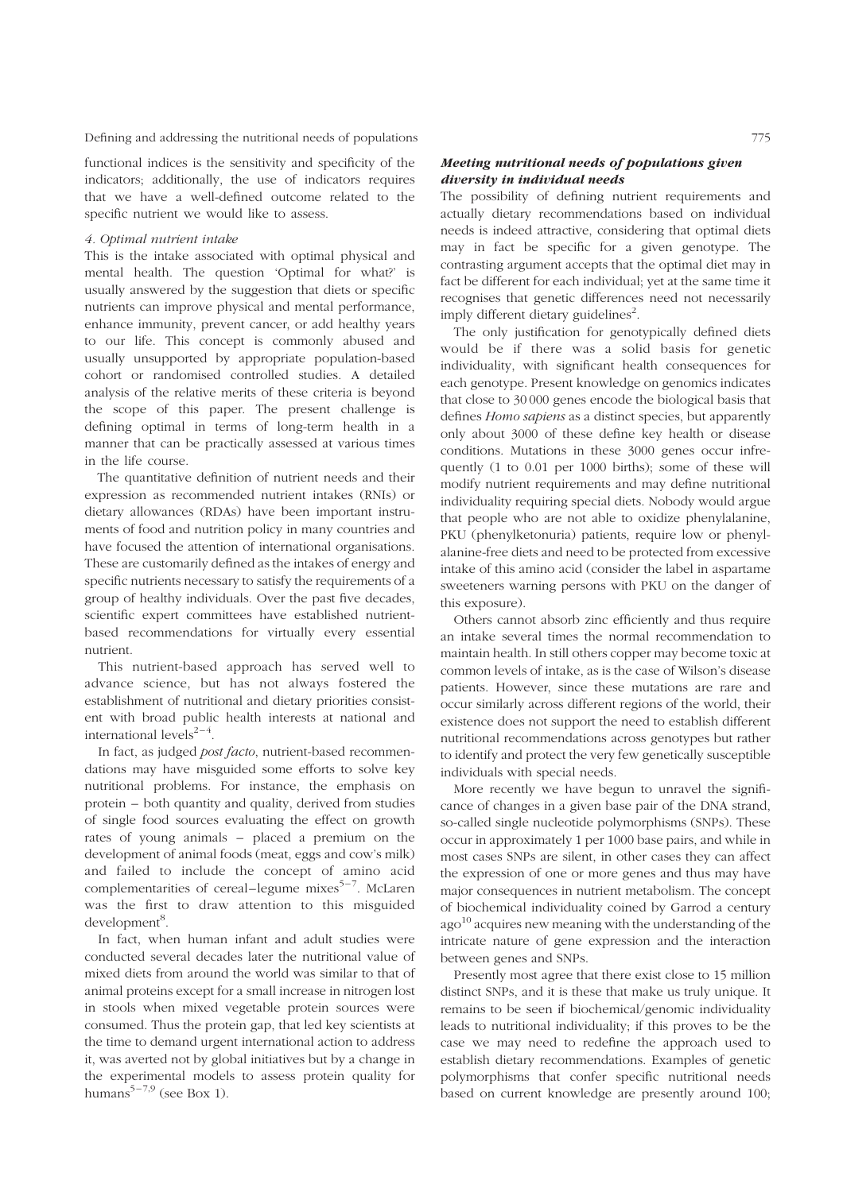functional indices is the sensitivity and specificity of the indicators; additionally, the use of indicators requires that we have a well-defined outcome related to the specific nutrient we would like to assess.

# 4. Optimal nutrient intake

This is the intake associated with optimal physical and mental health. The question 'Optimal for what?' is usually answered by the suggestion that diets or specific nutrients can improve physical and mental performance, enhance immunity, prevent cancer, or add healthy years to our life. This concept is commonly abused and usually unsupported by appropriate population-based cohort or randomised controlled studies. A detailed analysis of the relative merits of these criteria is beyond the scope of this paper. The present challenge is defining optimal in terms of long-term health in a manner that can be practically assessed at various times in the life course.

The quantitative definition of nutrient needs and their expression as recommended nutrient intakes (RNIs) or dietary allowances (RDAs) have been important instruments of food and nutrition policy in many countries and have focused the attention of international organisations. These are customarily defined as the intakes of energy and specific nutrients necessary to satisfy the requirements of a group of healthy individuals. Over the past five decades, scientific expert committees have established nutrientbased recommendations for virtually every essential nutrient.

This nutrient-based approach has served well to advance science, but has not always fostered the establishment of nutritional and dietary priorities consistent with broad public health interests at national and international levels $2-4$ .

In fact, as judged post facto, nutrient-based recommendations may have misguided some efforts to solve key nutritional problems. For instance, the emphasis on protein – both quantity and quality, derived from studies of single food sources evaluating the effect on growth rates of young animals – placed a premium on the development of animal foods (meat, eggs and cow's milk) and failed to include the concept of amino acid complementarities of cereal–legume mixes $5-7$ . McLaren was the first to draw attention to this misguided development<sup>8</sup>.

In fact, when human infant and adult studies were conducted several decades later the nutritional value of mixed diets from around the world was similar to that of animal proteins except for a small increase in nitrogen lost in stools when mixed vegetable protein sources were consumed. Thus the protein gap, that led key scientists at the time to demand urgent international action to address it, was averted not by global initiatives but by a change in the experimental models to assess protein quality for humans<sup>5-7,9</sup> (see Box 1).

## Meeting nutritional needs of populations given diversity in individual needs

The possibility of defining nutrient requirements and actually dietary recommendations based on individual needs is indeed attractive, considering that optimal diets may in fact be specific for a given genotype. The contrasting argument accepts that the optimal diet may in fact be different for each individual; yet at the same time it recognises that genetic differences need not necessarily imply different dietary guidelines<sup>2</sup>.

The only justification for genotypically defined diets would be if there was a solid basis for genetic individuality, with significant health consequences for each genotype. Present knowledge on genomics indicates that close to 30 000 genes encode the biological basis that defines Homo sapiens as a distinct species, but apparently only about 3000 of these define key health or disease conditions. Mutations in these 3000 genes occur infrequently (1 to 0.01 per 1000 births); some of these will modify nutrient requirements and may define nutritional individuality requiring special diets. Nobody would argue that people who are not able to oxidize phenylalanine, PKU (phenylketonuria) patients, require low or phenylalanine-free diets and need to be protected from excessive intake of this amino acid (consider the label in aspartame sweeteners warning persons with PKU on the danger of this exposure).

Others cannot absorb zinc efficiently and thus require an intake several times the normal recommendation to maintain health. In still others copper may become toxic at common levels of intake, as is the case of Wilson's disease patients. However, since these mutations are rare and occur similarly across different regions of the world, their existence does not support the need to establish different nutritional recommendations across genotypes but rather to identify and protect the very few genetically susceptible individuals with special needs.

More recently we have begun to unravel the significance of changes in a given base pair of the DNA strand, so-called single nucleotide polymorphisms (SNPs). These occur in approximately 1 per 1000 base pairs, and while in most cases SNPs are silent, in other cases they can affect the expression of one or more genes and thus may have major consequences in nutrient metabolism. The concept of biochemical individuality coined by Garrod a century  $a\text{g}o^{10}$  acquires new meaning with the understanding of the intricate nature of gene expression and the interaction between genes and SNPs.

Presently most agree that there exist close to 15 million distinct SNPs, and it is these that make us truly unique. It remains to be seen if biochemical/genomic individuality leads to nutritional individuality; if this proves to be the case we may need to redefine the approach used to establish dietary recommendations. Examples of genetic polymorphisms that confer specific nutritional needs based on current knowledge are presently around 100;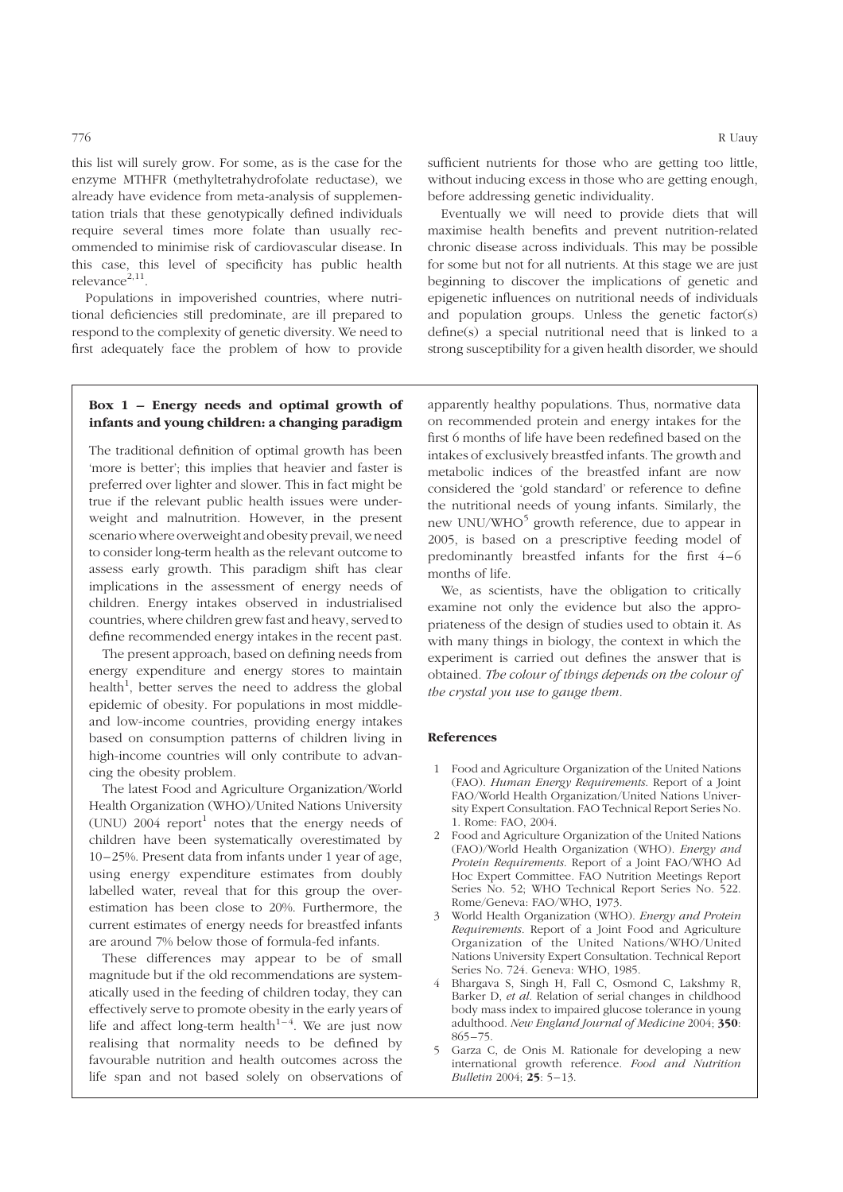this list will surely grow. For some, as is the case for the enzyme MTHFR (methyltetrahydrofolate reductase), we already have evidence from meta-analysis of supplementation trials that these genotypically defined individuals require several times more folate than usually recommended to minimise risk of cardiovascular disease. In this case, this level of specificity has public health relevance<sup>2,11</sup>.

Populations in impoverished countries, where nutritional deficiencies still predominate, are ill prepared to respond to the complexity of genetic diversity. We need to first adequately face the problem of how to provide

# Box 1 – Energy needs and optimal growth of infants and young children: a changing paradigm

The traditional definition of optimal growth has been 'more is better'; this implies that heavier and faster is preferred over lighter and slower. This in fact might be true if the relevant public health issues were underweight and malnutrition. However, in the present scenario where overweight and obesity prevail, we need to consider long-term health as the relevant outcome to assess early growth. This paradigm shift has clear implications in the assessment of energy needs of children. Energy intakes observed in industrialised countries, where children grew fast and heavy, served to define recommended energy intakes in the recent past.

The present approach, based on defining needs from energy expenditure and energy stores to maintain health<sup>1</sup>, better serves the need to address the global epidemic of obesity. For populations in most middleand low-income countries, providing energy intakes based on consumption patterns of children living in high-income countries will only contribute to advancing the obesity problem.

The latest Food and Agriculture Organization/World Health Organization (WHO)/United Nations University (UNU)  $2004$  report<sup>1</sup> notes that the energy needs of children have been systematically overestimated by 10 –25%. Present data from infants under 1 year of age, using energy expenditure estimates from doubly labelled water, reveal that for this group the overestimation has been close to 20%. Furthermore, the current estimates of energy needs for breastfed infants are around 7% below those of formula-fed infants.

These differences may appear to be of small magnitude but if the old recommendations are systematically used in the feeding of children today, they can effectively serve to promote obesity in the early years of life and affect long-term health $1-4$ . We are just now realising that normality needs to be defined by favourable nutrition and health outcomes across the life span and not based solely on observations of sufficient nutrients for those who are getting too little, without inducing excess in those who are getting enough, before addressing genetic individuality.

Eventually we will need to provide diets that will maximise health benefits and prevent nutrition-related chronic disease across individuals. This may be possible for some but not for all nutrients. At this stage we are just beginning to discover the implications of genetic and epigenetic influences on nutritional needs of individuals and population groups. Unless the genetic factor(s) define(s) a special nutritional need that is linked to a strong susceptibility for a given health disorder, we should

apparently healthy populations. Thus, normative data on recommended protein and energy intakes for the first 6 months of life have been redefined based on the intakes of exclusively breastfed infants. The growth and metabolic indices of the breastfed infant are now considered the 'gold standard' or reference to define the nutritional needs of young infants. Similarly, the new UNU/WHO<sup>5</sup> growth reference, due to appear in 2005, is based on a prescriptive feeding model of predominantly breastfed infants for the first 4-6 months of life.

We, as scientists, have the obligation to critically examine not only the evidence but also the appropriateness of the design of studies used to obtain it. As with many things in biology, the context in which the experiment is carried out defines the answer that is obtained. The colour of things depends on the colour of the crystal you use to gauge them.

#### References

- 1 Food and Agriculture Organization of the United Nations (FAO). Human Energy Requirements. Report of a Joint FAO/World Health Organization/United Nations University Expert Consultation. FAO Technical Report Series No. 1. Rome: FAO, 2004.
- 2 Food and Agriculture Organization of the United Nations (FAO)/World Health Organization (WHO). Energy and Protein Requirements. Report of a Joint FAO/WHO Ad Hoc Expert Committee. FAO Nutrition Meetings Report Series No. 52; WHO Technical Report Series No. 522. Rome/Geneva: FAO/WHO, 1973.
- 3 World Health Organization (WHO). Energy and Protein Requirements. Report of a Joint Food and Agriculture Organization of the United Nations/WHO/United Nations University Expert Consultation. Technical Report Series No. 724. Geneva: WHO, 1985.
- 4 Bhargava S, Singh H, Fall C, Osmond C, Lakshmy R, Barker D, et al. Relation of serial changes in childhood body mass index to impaired glucose tolerance in young adulthood. New England Journal of Medicine 2004; 350: 865 – 75.
- 5 Garza C, de Onis M. Rationale for developing a new international growth reference. Food and Nutrition Bulletin 2004; 25: 5-13.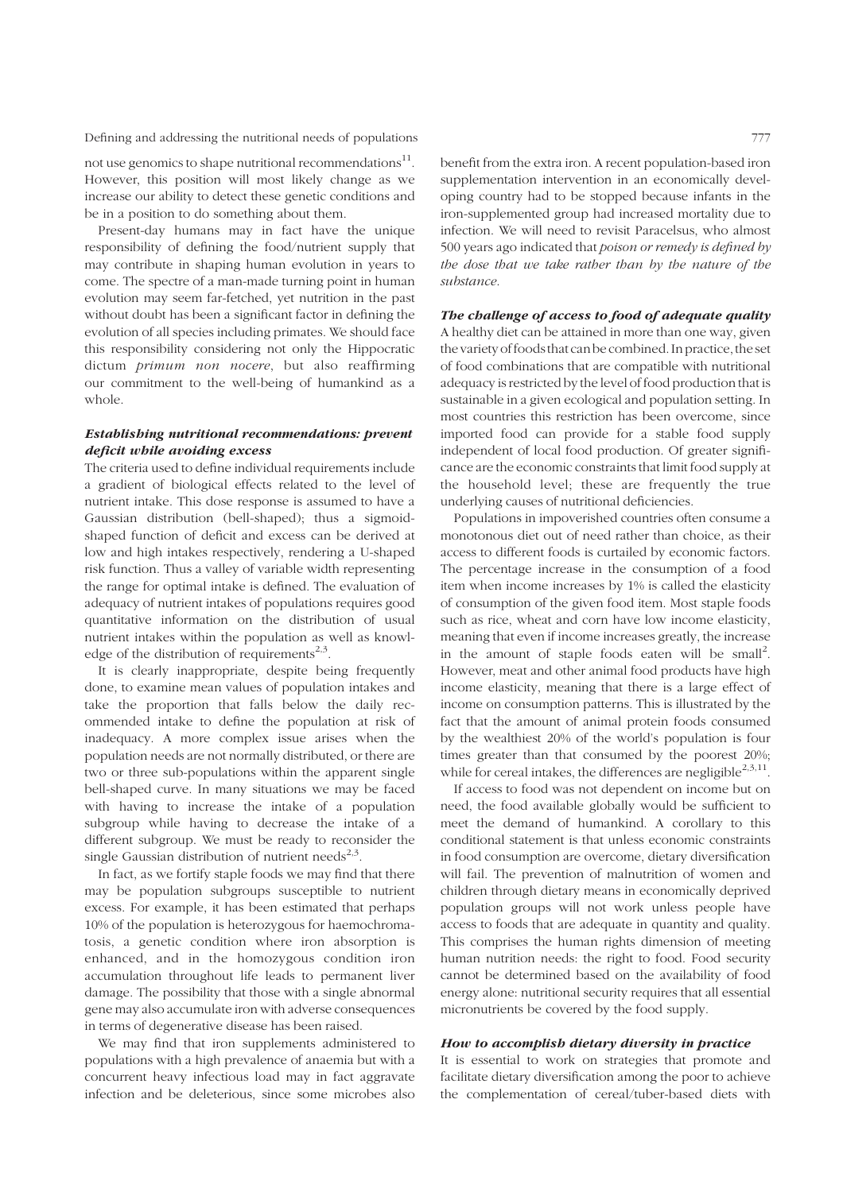not use genomics to shape nutritional recommendations $11$ . However, this position will most likely change as we increase our ability to detect these genetic conditions and be in a position to do something about them.

Present-day humans may in fact have the unique responsibility of defining the food/nutrient supply that may contribute in shaping human evolution in years to come. The spectre of a man-made turning point in human evolution may seem far-fetched, yet nutrition in the past without doubt has been a significant factor in defining the evolution of all species including primates. We should face this responsibility considering not only the Hippocratic dictum primum non nocere, but also reaffirming our commitment to the well-being of humankind as a whole.

## Establishing nutritional recommendations: prevent deficit while avoiding excess

The criteria used to define individual requirements include a gradient of biological effects related to the level of nutrient intake. This dose response is assumed to have a Gaussian distribution (bell-shaped); thus a sigmoidshaped function of deficit and excess can be derived at low and high intakes respectively, rendering a U-shaped risk function. Thus a valley of variable width representing the range for optimal intake is defined. The evaluation of adequacy of nutrient intakes of populations requires good quantitative information on the distribution of usual nutrient intakes within the population as well as knowledge of the distribution of requirements<sup>2,3</sup>.

It is clearly inappropriate, despite being frequently done, to examine mean values of population intakes and take the proportion that falls below the daily recommended intake to define the population at risk of inadequacy. A more complex issue arises when the population needs are not normally distributed, or there are two or three sub-populations within the apparent single bell-shaped curve. In many situations we may be faced with having to increase the intake of a population subgroup while having to decrease the intake of a different subgroup. We must be ready to reconsider the single Gaussian distribution of nutrient needs $^{2,3}$ .

In fact, as we fortify staple foods we may find that there may be population subgroups susceptible to nutrient excess. For example, it has been estimated that perhaps 10% of the population is heterozygous for haemochromatosis, a genetic condition where iron absorption is enhanced, and in the homozygous condition iron accumulation throughout life leads to permanent liver damage. The possibility that those with a single abnormal gene may also accumulate iron with adverse consequences in terms of degenerative disease has been raised.

We may find that iron supplements administered to populations with a high prevalence of anaemia but with a concurrent heavy infectious load may in fact aggravate infection and be deleterious, since some microbes also

benefit from the extra iron. A recent population-based iron supplementation intervention in an economically developing country had to be stopped because infants in the iron-supplemented group had increased mortality due to infection. We will need to revisit Paracelsus, who almost 500 years ago indicated that poison or remedy is defined by the dose that we take rather than by the nature of the substance.

# The challenge of access to food of adequate quality

A healthy diet can be attained in more than one way, given the variety of foods that can be combined. In practice, the set of food combinations that are compatible with nutritional adequacy is restricted by the level of food production that is sustainable in a given ecological and population setting. In most countries this restriction has been overcome, since imported food can provide for a stable food supply independent of local food production. Of greater significance are the economic constraints that limit food supply at the household level; these are frequently the true underlying causes of nutritional deficiencies.

Populations in impoverished countries often consume a monotonous diet out of need rather than choice, as their access to different foods is curtailed by economic factors. The percentage increase in the consumption of a food item when income increases by 1% is called the elasticity of consumption of the given food item. Most staple foods such as rice, wheat and corn have low income elasticity, meaning that even if income increases greatly, the increase in the amount of staple foods eaten will be small<sup>2</sup>. However, meat and other animal food products have high income elasticity, meaning that there is a large effect of income on consumption patterns. This is illustrated by the fact that the amount of animal protein foods consumed by the wealthiest 20% of the world's population is four times greater than that consumed by the poorest 20%; while for cereal intakes, the differences are negligible<sup>2,3,11</sup>.

If access to food was not dependent on income but on need, the food available globally would be sufficient to meet the demand of humankind. A corollary to this conditional statement is that unless economic constraints in food consumption are overcome, dietary diversification will fail. The prevention of malnutrition of women and children through dietary means in economically deprived population groups will not work unless people have access to foods that are adequate in quantity and quality. This comprises the human rights dimension of meeting human nutrition needs: the right to food. Food security cannot be determined based on the availability of food energy alone: nutritional security requires that all essential micronutrients be covered by the food supply.

#### How to accomplish dietary diversity in practice

It is essential to work on strategies that promote and facilitate dietary diversification among the poor to achieve the complementation of cereal/tuber-based diets with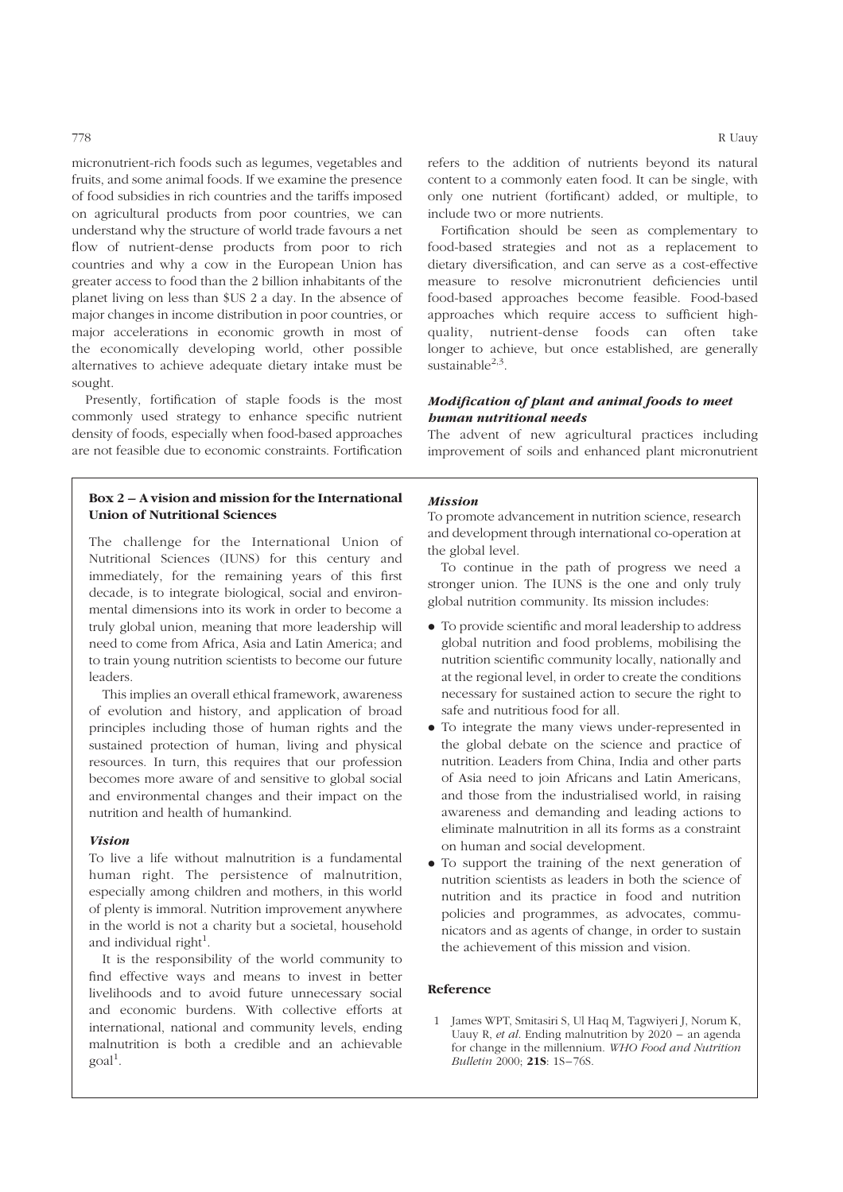micronutrient-rich foods such as legumes, vegetables and fruits, and some animal foods. If we examine the presence of food subsidies in rich countries and the tariffs imposed on agricultural products from poor countries, we can understand why the structure of world trade favours a net flow of nutrient-dense products from poor to rich countries and why a cow in the European Union has greater access to food than the 2 billion inhabitants of the planet living on less than \$US 2 a day. In the absence of major changes in income distribution in poor countries, or major accelerations in economic growth in most of the economically developing world, other possible alternatives to achieve adequate dietary intake must be sought.

Presently, fortification of staple foods is the most commonly used strategy to enhance specific nutrient density of foods, especially when food-based approaches are not feasible due to economic constraints. Fortification

# Box 2 – A vision and mission for the International Union of Nutritional Sciences

The challenge for the International Union of Nutritional Sciences (IUNS) for this century and immediately, for the remaining years of this first decade, is to integrate biological, social and environmental dimensions into its work in order to become a truly global union, meaning that more leadership will need to come from Africa, Asia and Latin America; and to train young nutrition scientists to become our future leaders.

This implies an overall ethical framework, awareness of evolution and history, and application of broad principles including those of human rights and the sustained protection of human, living and physical resources. In turn, this requires that our profession becomes more aware of and sensitive to global social and environmental changes and their impact on the nutrition and health of humankind.

#### Vision

To live a life without malnutrition is a fundamental human right. The persistence of malnutrition, especially among children and mothers, in this world of plenty is immoral. Nutrition improvement anywhere in the world is not a charity but a societal, household and individual right $^1$ .

It is the responsibility of the world community to find effective ways and means to invest in better livelihoods and to avoid future unnecessary social and economic burdens. With collective efforts at international, national and community levels, ending malnutrition is both a credible and an achievable  $\text{goal}^1$ .

refers to the addition of nutrients beyond its natural content to a commonly eaten food. It can be single, with only one nutrient (fortificant) added, or multiple, to include two or more nutrients.

Fortification should be seen as complementary to food-based strategies and not as a replacement to dietary diversification, and can serve as a cost-effective measure to resolve micronutrient deficiencies until food-based approaches become feasible. Food-based approaches which require access to sufficient highquality, nutrient-dense foods can often take longer to achieve, but once established, are generally sustainable $2,3$ .

# Modification of plant and animal foods to meet human nutritional needs

The advent of new agricultural practices including improvement of soils and enhanced plant micronutrient

# Mission

To promote advancement in nutrition science, research and development through international co-operation at the global level.

To continue in the path of progress we need a stronger union. The IUNS is the one and only truly global nutrition community. Its mission includes:

- . To provide scientific and moral leadership to address global nutrition and food problems, mobilising the nutrition scientific community locally, nationally and at the regional level, in order to create the conditions necessary for sustained action to secure the right to safe and nutritious food for all.
- . To integrate the many views under-represented in the global debate on the science and practice of nutrition. Leaders from China, India and other parts of Asia need to join Africans and Latin Americans, and those from the industrialised world, in raising awareness and demanding and leading actions to eliminate malnutrition in all its forms as a constraint on human and social development.
- . To support the training of the next generation of nutrition scientists as leaders in both the science of nutrition and its practice in food and nutrition policies and programmes, as advocates, communicators and as agents of change, in order to sustain the achievement of this mission and vision.

#### Reference

1 James WPT, Smitasiri S, Ul Haq M, Tagwiyeri J, Norum K, Uauy R, *et al.* Ending malnutrition by 2020 – an agenda for change in the millennium. WHO Food and Nutrition Bulletin 2000; 21S: 1S– 76S.

#### 778 R Uauy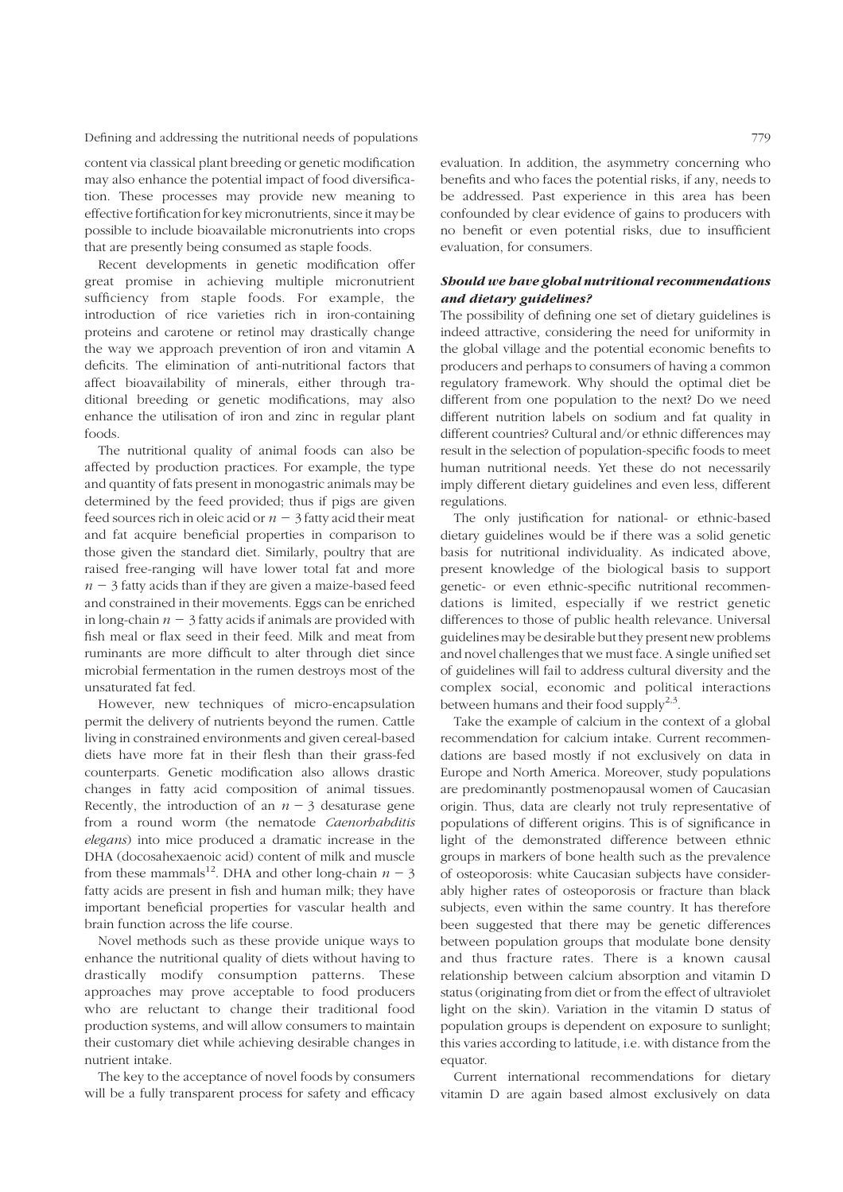content via classical plant breeding or genetic modification may also enhance the potential impact of food diversification. These processes may provide new meaning to effective fortification for key micronutrients, since it may be possible to include bioavailable micronutrients into crops that are presently being consumed as staple foods.

Recent developments in genetic modification offer great promise in achieving multiple micronutrient sufficiency from staple foods. For example, the introduction of rice varieties rich in iron-containing proteins and carotene or retinol may drastically change the way we approach prevention of iron and vitamin A deficits. The elimination of anti-nutritional factors that affect bioavailability of minerals, either through traditional breeding or genetic modifications, may also enhance the utilisation of iron and zinc in regular plant foods.

The nutritional quality of animal foods can also be affected by production practices. For example, the type and quantity of fats present in monogastric animals may be determined by the feed provided; thus if pigs are given feed sources rich in oleic acid or  $n - 3$  fatty acid their meat and fat acquire beneficial properties in comparison to those given the standard diet. Similarly, poultry that are raised free-ranging will have lower total fat and more  $n - 3$  fatty acids than if they are given a maize-based feed and constrained in their movements. Eggs can be enriched in long-chain  $n - 3$  fatty acids if animals are provided with fish meal or flax seed in their feed. Milk and meat from ruminants are more difficult to alter through diet since microbial fermentation in the rumen destroys most of the unsaturated fat fed.

However, new techniques of micro-encapsulation permit the delivery of nutrients beyond the rumen. Cattle living in constrained environments and given cereal-based diets have more fat in their flesh than their grass-fed counterparts. Genetic modification also allows drastic changes in fatty acid composition of animal tissues. Recently, the introduction of an  $n - 3$  desaturase gene from a round worm (the nematode Caenorhabditis elegans) into mice produced a dramatic increase in the DHA (docosahexaenoic acid) content of milk and muscle from these mammals<sup>12</sup>. DHA and other long-chain  $n - 3$ fatty acids are present in fish and human milk; they have important beneficial properties for vascular health and brain function across the life course.

Novel methods such as these provide unique ways to enhance the nutritional quality of diets without having to drastically modify consumption patterns. These approaches may prove acceptable to food producers who are reluctant to change their traditional food production systems, and will allow consumers to maintain their customary diet while achieving desirable changes in nutrient intake.

The key to the acceptance of novel foods by consumers will be a fully transparent process for safety and efficacy

evaluation. In addition, the asymmetry concerning who benefits and who faces the potential risks, if any, needs to be addressed. Past experience in this area has been confounded by clear evidence of gains to producers with no benefit or even potential risks, due to insufficient evaluation, for consumers.

# Should we have global nutritional recommendations and dietary guidelines?

The possibility of defining one set of dietary guidelines is indeed attractive, considering the need for uniformity in the global village and the potential economic benefits to producers and perhaps to consumers of having a common regulatory framework. Why should the optimal diet be different from one population to the next? Do we need different nutrition labels on sodium and fat quality in different countries? Cultural and/or ethnic differences may result in the selection of population-specific foods to meet human nutritional needs. Yet these do not necessarily imply different dietary guidelines and even less, different regulations.

The only justification for national- or ethnic-based dietary guidelines would be if there was a solid genetic basis for nutritional individuality. As indicated above, present knowledge of the biological basis to support genetic- or even ethnic-specific nutritional recommendations is limited, especially if we restrict genetic differences to those of public health relevance. Universal guidelines may be desirable but they present new problems and novel challenges that we must face. A single unified set of guidelines will fail to address cultural diversity and the complex social, economic and political interactions between humans and their food supply $^{2,3}$ .

Take the example of calcium in the context of a global recommendation for calcium intake. Current recommendations are based mostly if not exclusively on data in Europe and North America. Moreover, study populations are predominantly postmenopausal women of Caucasian origin. Thus, data are clearly not truly representative of populations of different origins. This is of significance in light of the demonstrated difference between ethnic groups in markers of bone health such as the prevalence of osteoporosis: white Caucasian subjects have considerably higher rates of osteoporosis or fracture than black subjects, even within the same country. It has therefore been suggested that there may be genetic differences between population groups that modulate bone density and thus fracture rates. There is a known causal relationship between calcium absorption and vitamin D status (originating from diet or from the effect of ultraviolet light on the skin). Variation in the vitamin D status of population groups is dependent on exposure to sunlight; this varies according to latitude, i.e. with distance from the equator.

Current international recommendations for dietary vitamin D are again based almost exclusively on data